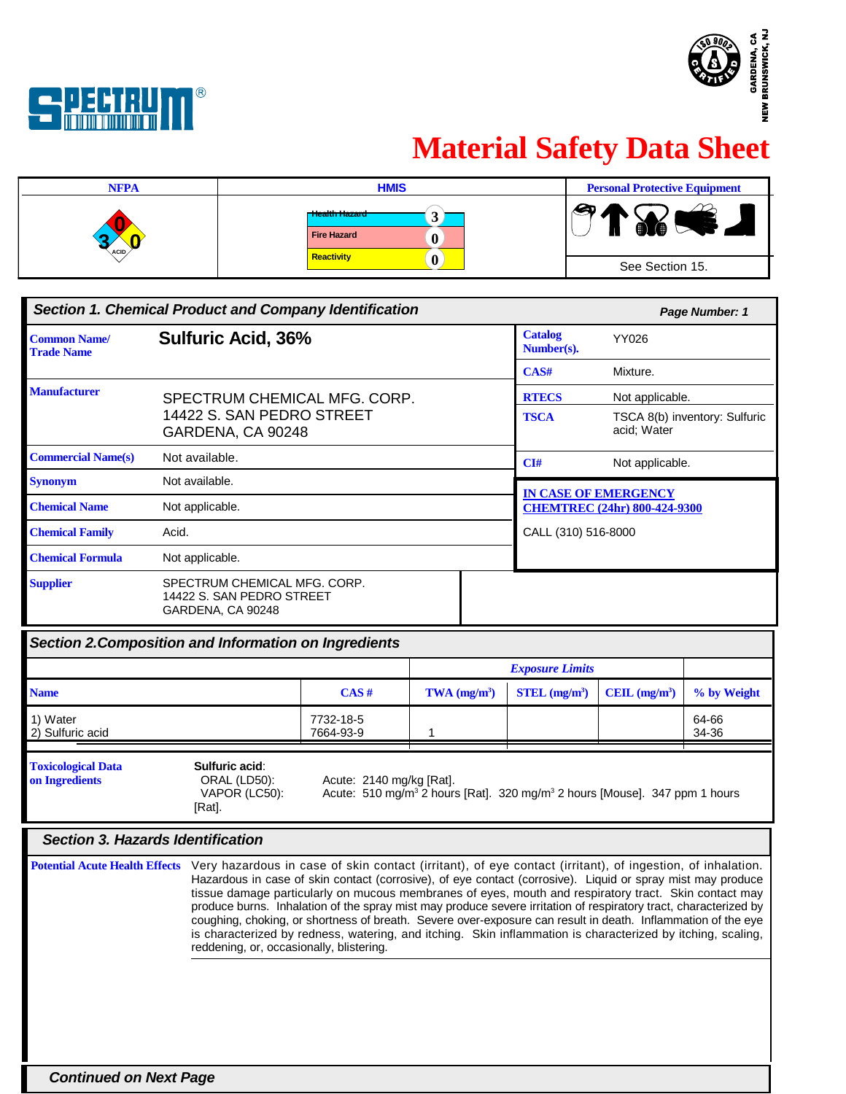



## **Material Safety Data Sheet**

| <b>NFPA</b> | <b>HMIS</b>                                | <b>Personal Protective Equipment</b> |
|-------------|--------------------------------------------|--------------------------------------|
| ACID        | r Health Hazard<br><b>Fire Hazard</b><br>Λ | Q<br><b>ARI</b><br>$\mathbf{a}$<br>Ш |
|             | <b>Reactivity</b>                          | See Section 15.                      |

| <b>Section 1. Chemical Product and Company Identification</b> |                                                                                |  | Page Number: 1               |                                              |
|---------------------------------------------------------------|--------------------------------------------------------------------------------|--|------------------------------|----------------------------------------------|
| <b>Common Name/</b><br><b>Trade Name</b>                      | <b>Sulfuric Acid, 36%</b>                                                      |  | <b>Catalog</b><br>Number(s). | YY026                                        |
|                                                               |                                                                                |  | CAS#                         | Mixture.                                     |
| <b>Manufacturer</b>                                           | SPECTRUM CHEMICAL MFG. CORP.                                                   |  | <b>RTECS</b>                 | Not applicable.                              |
|                                                               | 14422 S. SAN PEDRO STREET<br>GARDENA, CA 90248                                 |  | <b>TSCA</b>                  | TSCA 8(b) inventory: Sulfuric<br>acid: Water |
| <b>Commercial Name(s)</b>                                     | Not available.                                                                 |  | CI#                          | Not applicable.                              |
| <b>Synonym</b>                                                | Not available.                                                                 |  |                              | <b>IN CASE OF EMERGENCY</b>                  |
| <b>Chemical Name</b>                                          | Not applicable.                                                                |  |                              | <b>CHEMTREC (24hr) 800-424-9300</b>          |
| <b>Chemical Family</b>                                        | Acid.                                                                          |  | CALL (310) 516-8000          |                                              |
| <b>Chemical Formula</b>                                       | Not applicable.                                                                |  |                              |                                              |
| <b>Supplier</b>                                               | SPECTRUM CHEMICAL MFG. CORP.<br>14422 S. SAN PEDRO STREET<br>GARDENA, CA 90248 |  |                              |                                              |

| Section 2. Composition and Information on Ingredients |  |  |
|-------------------------------------------------------|--|--|
|                                                       |  |  |

|                                             |                                                                                                                                                                                                                                                                                                                                                                                                                                                                                                                                                                                                                                                                                                                                                                  |                          |                                                                                                    | <b>Exposure Limits</b>      |                |                |
|---------------------------------------------|------------------------------------------------------------------------------------------------------------------------------------------------------------------------------------------------------------------------------------------------------------------------------------------------------------------------------------------------------------------------------------------------------------------------------------------------------------------------------------------------------------------------------------------------------------------------------------------------------------------------------------------------------------------------------------------------------------------------------------------------------------------|--------------------------|----------------------------------------------------------------------------------------------------|-----------------------------|----------------|----------------|
| <b>Name</b>                                 |                                                                                                                                                                                                                                                                                                                                                                                                                                                                                                                                                                                                                                                                                                                                                                  | CAS#                     | $TWA$ (mg/m <sup>3</sup> )                                                                         | $STEL$ (mg/m <sup>3</sup> ) | CEIL $(mg/m3)$ | % by Weight    |
| 1) Water<br>2) Sulfuric acid                |                                                                                                                                                                                                                                                                                                                                                                                                                                                                                                                                                                                                                                                                                                                                                                  | 7732-18-5<br>7664-93-9   |                                                                                                    |                             |                | 64-66<br>34-36 |
| <b>Toxicological Data</b><br>on Ingredients | Sulfuric acid:<br>ORAL (LD50):<br>VAPOR (LC50):<br>[Rat].                                                                                                                                                                                                                                                                                                                                                                                                                                                                                                                                                                                                                                                                                                        | Acute: 2140 mg/kg [Rat]. | Acute: 510 mg/m <sup>3</sup> 2 hours [Rat]. 320 mg/m <sup>3</sup> 2 hours [Mouse]. 347 ppm 1 hours |                             |                |                |
| Section 3. Hazards Identification           |                                                                                                                                                                                                                                                                                                                                                                                                                                                                                                                                                                                                                                                                                                                                                                  |                          |                                                                                                    |                             |                |                |
|                                             | Potential Acute Health Effects Very hazardous in case of skin contact (irritant), of eye contact (irritant), of ingestion, of inhalation.<br>Hazardous in case of skin contact (corrosive), of eye contact (corrosive). Liquid or spray mist may produce<br>tissue damage particularly on mucous membranes of eyes, mouth and respiratory tract. Skin contact may<br>produce burns. Inhalation of the spray mist may produce severe irritation of respiratory tract, characterized by<br>coughing, choking, or shortness of breath. Severe over-exposure can result in death. Inflammation of the eye<br>is characterized by redness, watering, and itching. Skin inflammation is characterized by itching, scaling,<br>reddening, or, occasionally, blistering. |                          |                                                                                                    |                             |                |                |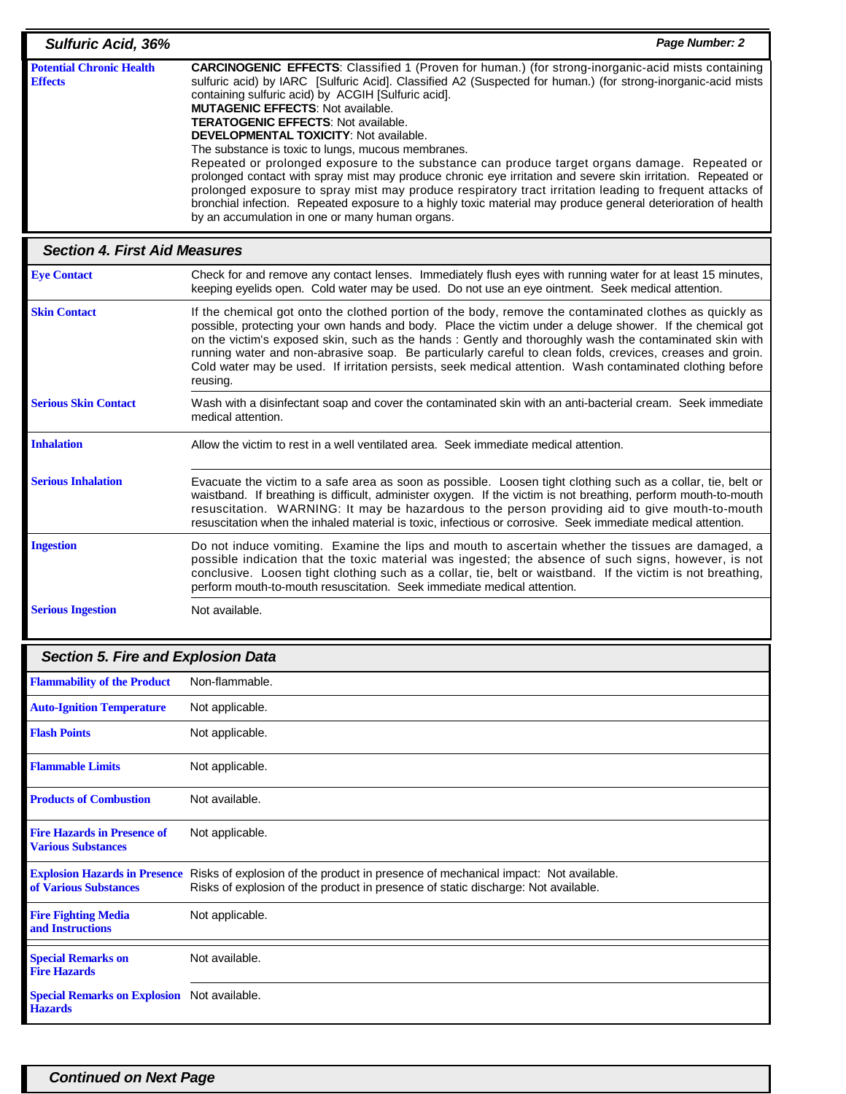| <b>Sulfuric Acid, 36%</b>                         | Page Number: 2                                                                                                                                                                                                                                                                                                                                                                                                                                                                                                                                                                                                                                                                                                                                                                                                                                                                                                                                                                      |
|---------------------------------------------------|-------------------------------------------------------------------------------------------------------------------------------------------------------------------------------------------------------------------------------------------------------------------------------------------------------------------------------------------------------------------------------------------------------------------------------------------------------------------------------------------------------------------------------------------------------------------------------------------------------------------------------------------------------------------------------------------------------------------------------------------------------------------------------------------------------------------------------------------------------------------------------------------------------------------------------------------------------------------------------------|
| <b>Potential Chronic Health</b><br><b>Effects</b> | <b>CARCINOGENIC EFFECTS:</b> Classified 1 (Proven for human.) (for strong-inorganic-acid mists containing<br>sulfuric acid) by IARC [Sulfuric Acid]. Classified A2 (Suspected for human.) (for strong-inorganic-acid mists<br>containing sulfuric acid) by ACGIH [Sulfuric acid].<br><b>MUTAGENIC EFFECTS: Not available.</b><br><b>TERATOGENIC EFFECTS: Not available.</b><br><b>DEVELOPMENTAL TOXICITY: Not available.</b><br>The substance is toxic to lungs, mucous membranes.<br>Repeated or prolonged exposure to the substance can produce target organs damage. Repeated or<br>prolonged contact with spray mist may produce chronic eye irritation and severe skin irritation. Repeated or<br>prolonged exposure to spray mist may produce respiratory tract irritation leading to frequent attacks of<br>bronchial infection. Repeated exposure to a highly toxic material may produce general deterioration of health<br>by an accumulation in one or many human organs. |
|                                                   |                                                                                                                                                                                                                                                                                                                                                                                                                                                                                                                                                                                                                                                                                                                                                                                                                                                                                                                                                                                     |

| <b>Section 4. First Aid Measures</b> |                                                                                                                                                                                                                                                                                                                                                                                                                                                                                                                                                                      |  |
|--------------------------------------|----------------------------------------------------------------------------------------------------------------------------------------------------------------------------------------------------------------------------------------------------------------------------------------------------------------------------------------------------------------------------------------------------------------------------------------------------------------------------------------------------------------------------------------------------------------------|--|
| <b>Eye Contact</b>                   | Check for and remove any contact lenses. Immediately flush eyes with running water for at least 15 minutes,<br>keeping eyelids open. Cold water may be used. Do not use an eye ointment. Seek medical attention.                                                                                                                                                                                                                                                                                                                                                     |  |
| <b>Skin Contact</b>                  | If the chemical got onto the clothed portion of the body, remove the contaminated clothes as quickly as<br>possible, protecting your own hands and body. Place the victim under a deluge shower. If the chemical got<br>on the victim's exposed skin, such as the hands: Gently and thoroughly wash the contaminated skin with<br>running water and non-abrasive soap. Be particularly careful to clean folds, crevices, creases and groin.<br>Cold water may be used. If irritation persists, seek medical attention. Wash contaminated clothing before<br>reusing. |  |
| <b>Serious Skin Contact</b>          | Wash with a disinfectant soap and cover the contaminated skin with an anti-bacterial cream. Seek immediate<br>medical attention.                                                                                                                                                                                                                                                                                                                                                                                                                                     |  |
| <b>Inhalation</b>                    | Allow the victim to rest in a well ventilated area. Seek immediate medical attention.                                                                                                                                                                                                                                                                                                                                                                                                                                                                                |  |
| <b>Serious Inhalation</b>            | Evacuate the victim to a safe area as soon as possible. Loosen tight clothing such as a collar, tie, belt or<br>waistband. If breathing is difficult, administer oxygen. If the victim is not breathing, perform mouth-to-mouth<br>resuscitation. WARNING: It may be hazardous to the person providing aid to give mouth-to-mouth<br>resuscitation when the inhaled material is toxic, infectious or corrosive. Seek immediate medical attention.                                                                                                                    |  |
| <b>Ingestion</b>                     | Do not induce vomiting. Examine the lips and mouth to ascertain whether the tissues are damaged, a<br>possible indication that the toxic material was ingested; the absence of such signs, however, is not<br>conclusive. Loosen tight clothing such as a collar, tie, belt or waistband. If the victim is not breathing,<br>perform mouth-to-mouth resuscitation. Seek immediate medical attention.                                                                                                                                                                 |  |
| <b>Serious Ingestion</b>             | Not available.                                                                                                                                                                                                                                                                                                                                                                                                                                                                                                                                                       |  |

| <b>Section 5. Fire and Explosion Data</b>                            |                                                                                                                                                                                                       |
|----------------------------------------------------------------------|-------------------------------------------------------------------------------------------------------------------------------------------------------------------------------------------------------|
| <b>Flammability of the Product</b>                                   | Non-flammable.                                                                                                                                                                                        |
| <b>Auto-Ignition Temperature</b>                                     | Not applicable.                                                                                                                                                                                       |
| <b>Flash Points</b>                                                  | Not applicable.                                                                                                                                                                                       |
| <b>Flammable Limits</b>                                              | Not applicable.                                                                                                                                                                                       |
| <b>Products of Combustion</b>                                        | Not available.                                                                                                                                                                                        |
| <b>Fire Hazards in Presence of</b><br><b>Various Substances</b>      | Not applicable.                                                                                                                                                                                       |
| of Various Substances                                                | Explosion Hazards in Presence Risks of explosion of the product in presence of mechanical impact: Not available.<br>Risks of explosion of the product in presence of static discharge: Not available. |
| <b>Fire Fighting Media</b><br>and Instructions                       | Not applicable.                                                                                                                                                                                       |
| <b>Special Remarks on</b><br><b>Fire Hazards</b>                     | Not available.                                                                                                                                                                                        |
| <b>Special Remarks on Explosion</b> Not available.<br><b>Hazards</b> |                                                                                                                                                                                                       |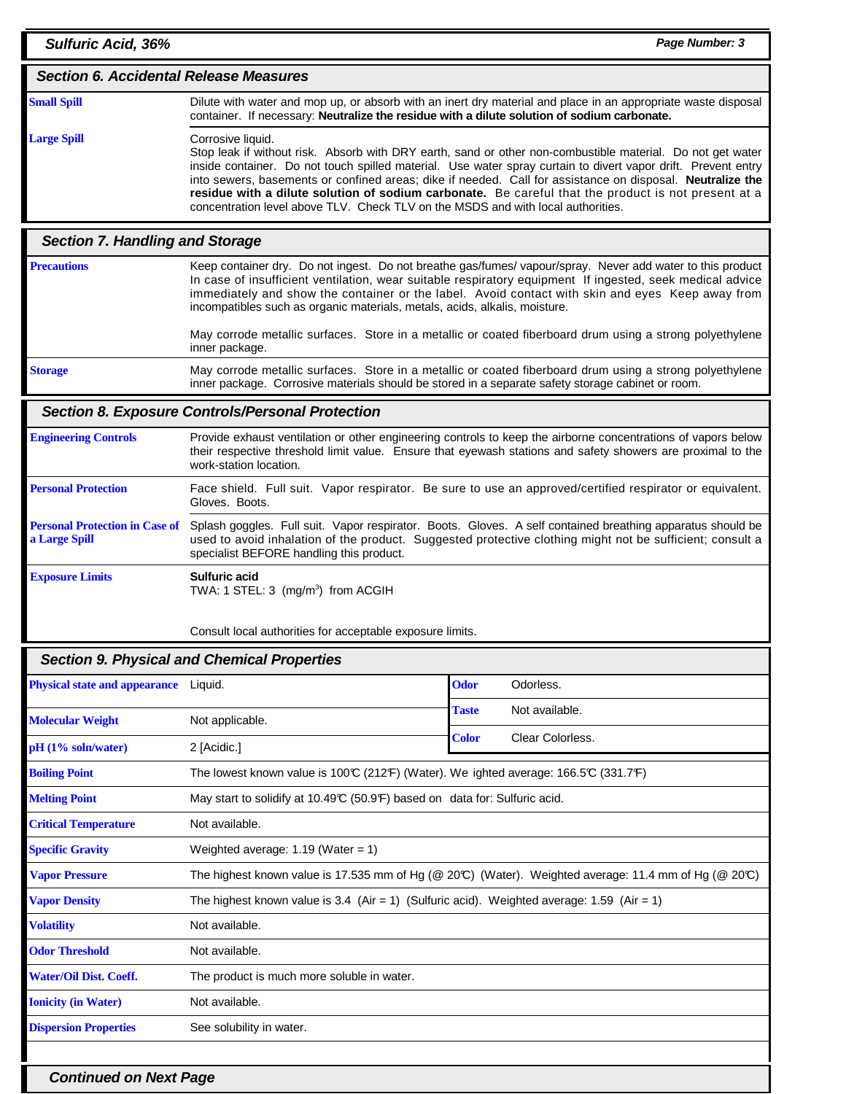| <b>Sulfuric Acid, 36%</b>                              |                                                                                                                                                                                                                                                                                                                                                                                                                                                                                                                                                          |              | Page Number: 3                                                                                                                                                                                                                                                                                                              |
|--------------------------------------------------------|----------------------------------------------------------------------------------------------------------------------------------------------------------------------------------------------------------------------------------------------------------------------------------------------------------------------------------------------------------------------------------------------------------------------------------------------------------------------------------------------------------------------------------------------------------|--------------|-----------------------------------------------------------------------------------------------------------------------------------------------------------------------------------------------------------------------------------------------------------------------------------------------------------------------------|
| <b>Section 6. Accidental Release Measures</b>          |                                                                                                                                                                                                                                                                                                                                                                                                                                                                                                                                                          |              |                                                                                                                                                                                                                                                                                                                             |
| <b>Small Spill</b>                                     | Dilute with water and mop up, or absorb with an inert dry material and place in an appropriate waste disposal<br>container. If necessary: Neutralize the residue with a dilute solution of sodium carbonate.                                                                                                                                                                                                                                                                                                                                             |              |                                                                                                                                                                                                                                                                                                                             |
| <b>Large Spill</b>                                     | Corrosive liquid.<br>Stop leak if without risk. Absorb with DRY earth, sand or other non-combustible material. Do not get water<br>inside container. Do not touch spilled material. Use water spray curtain to divert vapor drift. Prevent entry<br>into sewers, basements or confined areas; dike if needed. Call for assistance on disposal. Neutralize the<br>residue with a dilute solution of sodium carbonate. Be careful that the product is not present at a<br>concentration level above TLV. Check TLV on the MSDS and with local authorities. |              |                                                                                                                                                                                                                                                                                                                             |
| <b>Section 7. Handling and Storage</b>                 |                                                                                                                                                                                                                                                                                                                                                                                                                                                                                                                                                          |              |                                                                                                                                                                                                                                                                                                                             |
| <b>Precautions</b>                                     | incompatibles such as organic materials, metals, acids, alkalis, moisture.                                                                                                                                                                                                                                                                                                                                                                                                                                                                               |              | Keep container dry. Do not ingest. Do not breathe gas/fumes/ vapour/spray. Never add water to this product<br>In case of insufficient ventilation, wear suitable respiratory equipment If ingested, seek medical advice<br>immediately and show the container or the label. Avoid contact with skin and eyes Keep away from |
|                                                        | inner package.                                                                                                                                                                                                                                                                                                                                                                                                                                                                                                                                           |              | May corrode metallic surfaces. Store in a metallic or coated fiberboard drum using a strong polyethylene                                                                                                                                                                                                                    |
| <b>Storage</b>                                         | inner package. Corrosive materials should be stored in a separate safety storage cabinet or room.                                                                                                                                                                                                                                                                                                                                                                                                                                                        |              | May corrode metallic surfaces. Store in a metallic or coated fiberboard drum using a strong polyethylene                                                                                                                                                                                                                    |
|                                                        | Section 8. Exposure Controls/Personal Protection                                                                                                                                                                                                                                                                                                                                                                                                                                                                                                         |              |                                                                                                                                                                                                                                                                                                                             |
| <b>Engineering Controls</b>                            | work-station location.                                                                                                                                                                                                                                                                                                                                                                                                                                                                                                                                   |              | Provide exhaust ventilation or other engineering controls to keep the airborne concentrations of vapors below<br>their respective threshold limit value. Ensure that eyewash stations and safety showers are proximal to the                                                                                                |
| <b>Personal Protection</b>                             | Gloves. Boots.                                                                                                                                                                                                                                                                                                                                                                                                                                                                                                                                           |              | Face shield. Full suit. Vapor respirator. Be sure to use an approved/certified respirator or equivalent.                                                                                                                                                                                                                    |
| <b>Personal Protection in Case of</b><br>a Large Spill | specialist BEFORE handling this product.                                                                                                                                                                                                                                                                                                                                                                                                                                                                                                                 |              | Splash goggles. Full suit. Vapor respirator. Boots. Gloves. A self contained breathing apparatus should be<br>used to avoid inhalation of the product. Suggested protective clothing might not be sufficient; consult a                                                                                                     |
| <b>Exposure Limits</b>                                 | <b>Sulfuric acid</b><br>TWA: 1 STEL: 3 (mg/m <sup>3</sup> ) from ACGIH<br>Consult local authorities for acceptable exposure limits.                                                                                                                                                                                                                                                                                                                                                                                                                      |              |                                                                                                                                                                                                                                                                                                                             |
|                                                        | <b>Section 9. Physical and Chemical Properties</b>                                                                                                                                                                                                                                                                                                                                                                                                                                                                                                       |              |                                                                                                                                                                                                                                                                                                                             |
| <b>Physical state and appearance</b>                   | Liquid.                                                                                                                                                                                                                                                                                                                                                                                                                                                                                                                                                  | <b>Odor</b>  | Odorless.                                                                                                                                                                                                                                                                                                                   |
| <b>Molecular Weight</b>                                | Not applicable.                                                                                                                                                                                                                                                                                                                                                                                                                                                                                                                                          | <b>Taste</b> | Not available.                                                                                                                                                                                                                                                                                                              |
| pH (1% soln/water)                                     | 2 [Acidic.]                                                                                                                                                                                                                                                                                                                                                                                                                                                                                                                                              | <b>Color</b> | Clear Colorless.                                                                                                                                                                                                                                                                                                            |
| <b>Boiling Point</b>                                   | The lowest known value is 100°C (212°F) (Water). We ighted average: 166.5°C (331.7°F)                                                                                                                                                                                                                                                                                                                                                                                                                                                                    |              |                                                                                                                                                                                                                                                                                                                             |
| <b>Melting Point</b>                                   | May start to solidify at 10.49°C (50.9°F) based on data for: Sulfuric acid.                                                                                                                                                                                                                                                                                                                                                                                                                                                                              |              |                                                                                                                                                                                                                                                                                                                             |
| <b>Critical Temperature</b>                            | Not available.                                                                                                                                                                                                                                                                                                                                                                                                                                                                                                                                           |              |                                                                                                                                                                                                                                                                                                                             |
| <b>Specific Gravity</b>                                | Weighted average: $1.19$ (Water = 1)                                                                                                                                                                                                                                                                                                                                                                                                                                                                                                                     |              |                                                                                                                                                                                                                                                                                                                             |
| <b>Vapor Pressure</b>                                  |                                                                                                                                                                                                                                                                                                                                                                                                                                                                                                                                                          |              | The highest known value is 17.535 mm of Hg (@ 20°C) (Water). Weighted average: 11.4 mm of Hg (@ 20°C)                                                                                                                                                                                                                       |
| <b>Vapor Density</b>                                   | The highest known value is 3.4 (Air = 1) (Sulfuric acid). Weighted average: 1.59 (Air = 1)                                                                                                                                                                                                                                                                                                                                                                                                                                                               |              |                                                                                                                                                                                                                                                                                                                             |
| <b>Volatility</b>                                      | Not available.                                                                                                                                                                                                                                                                                                                                                                                                                                                                                                                                           |              |                                                                                                                                                                                                                                                                                                                             |
| <b>Odor Threshold</b>                                  | Not available.                                                                                                                                                                                                                                                                                                                                                                                                                                                                                                                                           |              |                                                                                                                                                                                                                                                                                                                             |
| <b>Water/Oil Dist. Coeff.</b>                          | The product is much more soluble in water.                                                                                                                                                                                                                                                                                                                                                                                                                                                                                                               |              |                                                                                                                                                                                                                                                                                                                             |
| <b>Ionicity (in Water)</b>                             | Not available.                                                                                                                                                                                                                                                                                                                                                                                                                                                                                                                                           |              |                                                                                                                                                                                                                                                                                                                             |
| <b>Dispersion Properties</b>                           | See solubility in water.                                                                                                                                                                                                                                                                                                                                                                                                                                                                                                                                 |              |                                                                                                                                                                                                                                                                                                                             |

**Continued on Next Page**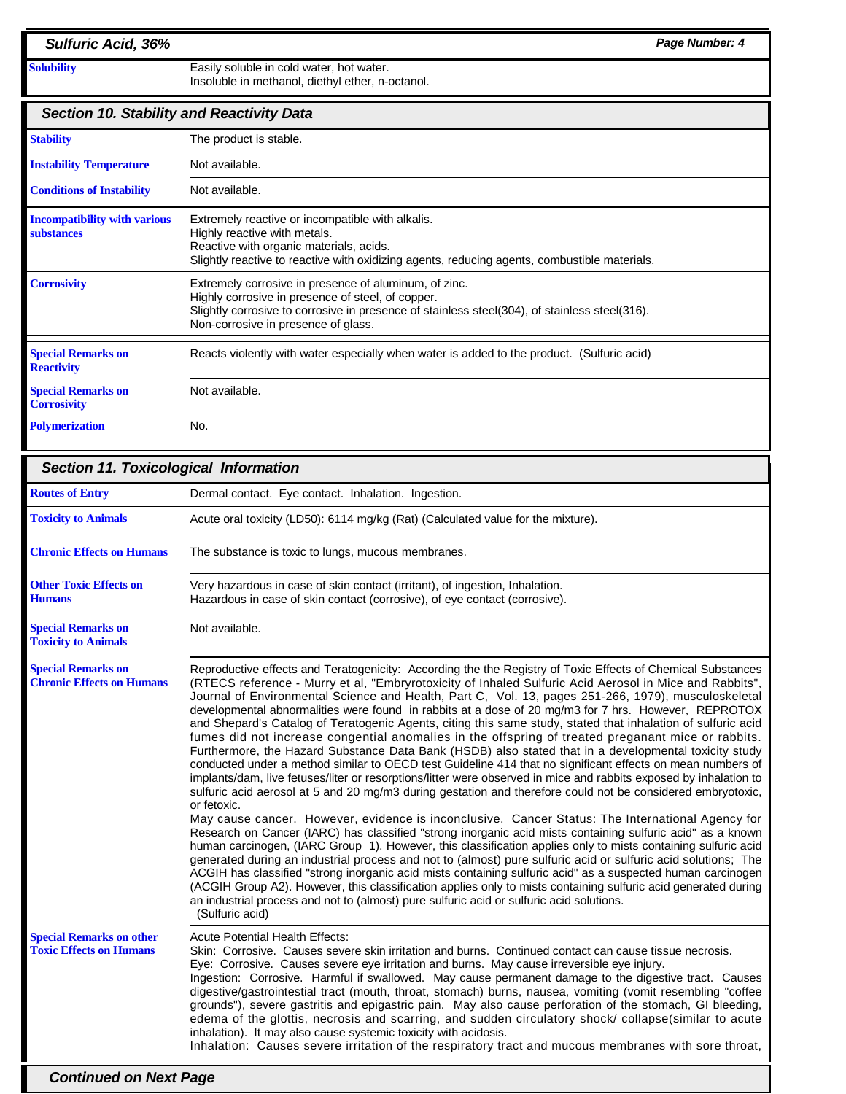| <b>Sulfuric Acid, 36%</b>                                         | Page Number: 4                                                                                                                                                                                                                                                                                                                                                                                                                                                                                                                                                                                                                                                                                                                                                                                                                                                                                                                                                                                                                                                                                                                        |
|-------------------------------------------------------------------|---------------------------------------------------------------------------------------------------------------------------------------------------------------------------------------------------------------------------------------------------------------------------------------------------------------------------------------------------------------------------------------------------------------------------------------------------------------------------------------------------------------------------------------------------------------------------------------------------------------------------------------------------------------------------------------------------------------------------------------------------------------------------------------------------------------------------------------------------------------------------------------------------------------------------------------------------------------------------------------------------------------------------------------------------------------------------------------------------------------------------------------|
| <b>Solubility</b>                                                 | Easily soluble in cold water, hot water.<br>Insoluble in methanol, diethyl ether, n-octanol.                                                                                                                                                                                                                                                                                                                                                                                                                                                                                                                                                                                                                                                                                                                                                                                                                                                                                                                                                                                                                                          |
| <b>Section 10. Stability and Reactivity Data</b>                  |                                                                                                                                                                                                                                                                                                                                                                                                                                                                                                                                                                                                                                                                                                                                                                                                                                                                                                                                                                                                                                                                                                                                       |
| <b>Stability</b>                                                  | The product is stable.                                                                                                                                                                                                                                                                                                                                                                                                                                                                                                                                                                                                                                                                                                                                                                                                                                                                                                                                                                                                                                                                                                                |
| <b>Instability Temperature</b>                                    | Not available.                                                                                                                                                                                                                                                                                                                                                                                                                                                                                                                                                                                                                                                                                                                                                                                                                                                                                                                                                                                                                                                                                                                        |
| <b>Conditions of Instability</b>                                  | Not available.                                                                                                                                                                                                                                                                                                                                                                                                                                                                                                                                                                                                                                                                                                                                                                                                                                                                                                                                                                                                                                                                                                                        |
| <b>Incompatibility with various</b><br>substances                 | Extremely reactive or incompatible with alkalis.<br>Highly reactive with metals.<br>Reactive with organic materials, acids.<br>Slightly reactive to reactive with oxidizing agents, reducing agents, combustible materials.                                                                                                                                                                                                                                                                                                                                                                                                                                                                                                                                                                                                                                                                                                                                                                                                                                                                                                           |
| <b>Corrosivity</b>                                                | Extremely corrosive in presence of aluminum, of zinc.<br>Highly corrosive in presence of steel, of copper.<br>Slightly corrosive to corrosive in presence of stainless steel(304), of stainless steel(316).<br>Non-corrosive in presence of glass.                                                                                                                                                                                                                                                                                                                                                                                                                                                                                                                                                                                                                                                                                                                                                                                                                                                                                    |
| <b>Special Remarks on</b><br><b>Reactivity</b>                    | Reacts violently with water especially when water is added to the product. (Sulfuric acid)                                                                                                                                                                                                                                                                                                                                                                                                                                                                                                                                                                                                                                                                                                                                                                                                                                                                                                                                                                                                                                            |
| <b>Special Remarks on</b><br><b>Corrosivity</b>                   | Not available.                                                                                                                                                                                                                                                                                                                                                                                                                                                                                                                                                                                                                                                                                                                                                                                                                                                                                                                                                                                                                                                                                                                        |
| <b>Polymerization</b>                                             | No.                                                                                                                                                                                                                                                                                                                                                                                                                                                                                                                                                                                                                                                                                                                                                                                                                                                                                                                                                                                                                                                                                                                                   |
| <b>Section 11. Toxicological Information</b>                      |                                                                                                                                                                                                                                                                                                                                                                                                                                                                                                                                                                                                                                                                                                                                                                                                                                                                                                                                                                                                                                                                                                                                       |
| <b>Routes of Entry</b>                                            | Dermal contact. Eye contact. Inhalation. Ingestion.                                                                                                                                                                                                                                                                                                                                                                                                                                                                                                                                                                                                                                                                                                                                                                                                                                                                                                                                                                                                                                                                                   |
| <b>Toxicity to Animals</b>                                        | Acute oral toxicity (LD50): 6114 mg/kg (Rat) (Calculated value for the mixture).                                                                                                                                                                                                                                                                                                                                                                                                                                                                                                                                                                                                                                                                                                                                                                                                                                                                                                                                                                                                                                                      |
| <b>Chronic Effects on Humans</b>                                  | The substance is toxic to lungs, mucous membranes.                                                                                                                                                                                                                                                                                                                                                                                                                                                                                                                                                                                                                                                                                                                                                                                                                                                                                                                                                                                                                                                                                    |
| <b>Other Toxic Effects on</b><br><b>Humans</b>                    | Very hazardous in case of skin contact (irritant), of ingestion, Inhalation.<br>Hazardous in case of skin contact (corrosive), of eye contact (corrosive).                                                                                                                                                                                                                                                                                                                                                                                                                                                                                                                                                                                                                                                                                                                                                                                                                                                                                                                                                                            |
| <b>Special Remarks on</b><br><b>Toxicity to Animals</b>           | Not available.                                                                                                                                                                                                                                                                                                                                                                                                                                                                                                                                                                                                                                                                                                                                                                                                                                                                                                                                                                                                                                                                                                                        |
| <b>Special Remarks on</b><br><b>Chronic Effects on Humans</b>     | Reproductive effects and Teratogenicity: According the the Registry of Toxic Effects of Chemical Substances<br>(RTECS reference - Murry et al, "Embryrotoxicity of Inhaled Sulfuric Acid Aerosol in Mice and Rabbits",<br>Journal of Environmental Science and Health, Part C, Vol. 13, pages 251-266, 1979), musculoskeletal<br>developmental abnormalities were found in rabbits at a dose of 20 mg/m3 for 7 hrs. However, REPROTOX<br>and Shepard's Catalog of Teratogenic Agents, citing this same study, stated that inhalation of sulfuric acid<br>fumes did not increase congential anomalies in the offspring of treated preganant mice or rabbits.<br>Furthermore, the Hazard Substance Data Bank (HSDB) also stated that in a developmental toxicity study<br>conducted under a method similar to OECD test Guideline 414 that no significant effects on mean numbers of<br>implants/dam, live fetuses/liter or resorptions/litter were observed in mice and rabbits exposed by inhalation to<br>sulfuric acid aerosol at 5 and 20 mg/m3 during gestation and therefore could not be considered embryotoxic,<br>or fetoxic. |
|                                                                   | May cause cancer. However, evidence is inconclusive. Cancer Status: The International Agency for<br>Research on Cancer (IARC) has classified "strong inorganic acid mists containing sulfuric acid" as a known<br>human carcinogen, (IARC Group 1). However, this classification applies only to mists containing sulfuric acid<br>generated during an industrial process and not to (almost) pure sulfuric acid or sulfuric acid solutions; The<br>ACGIH has classified "strong inorganic acid mists containing sulfuric acid" as a suspected human carcinogen<br>(ACGIH Group A2). However, this classification applies only to mists containing sulfuric acid generated during<br>an industrial process and not to (almost) pure sulfuric acid or sulfuric acid solutions.<br>(Sulfuric acid)                                                                                                                                                                                                                                                                                                                                      |
| <b>Special Remarks on other</b><br><b>Toxic Effects on Humans</b> | <b>Acute Potential Health Effects:</b><br>Skin: Corrosive. Causes severe skin irritation and burns. Continued contact can cause tissue necrosis.<br>Eye: Corrosive. Causes severe eye irritation and burns. May cause irreversible eye injury.<br>Ingestion: Corrosive. Harmful if swallowed. May cause permanent damage to the digestive tract. Causes<br>digestive/gastrointestial tract (mouth, throat, stomach) burns, nausea, vomiting (vomit resembling "coffee<br>grounds"), severe gastritis and epigastric pain. May also cause perforation of the stomach, GI bleeding,<br>edema of the glottis, necrosis and scarring, and sudden circulatory shock/collapse(similar to acute<br>inhalation). It may also cause systemic toxicity with acidosis.<br>Inhalation: Causes severe irritation of the respiratory tract and mucous membranes with sore throat,                                                                                                                                                                                                                                                                   |
| <b>Continued on Next Page</b>                                     |                                                                                                                                                                                                                                                                                                                                                                                                                                                                                                                                                                                                                                                                                                                                                                                                                                                                                                                                                                                                                                                                                                                                       |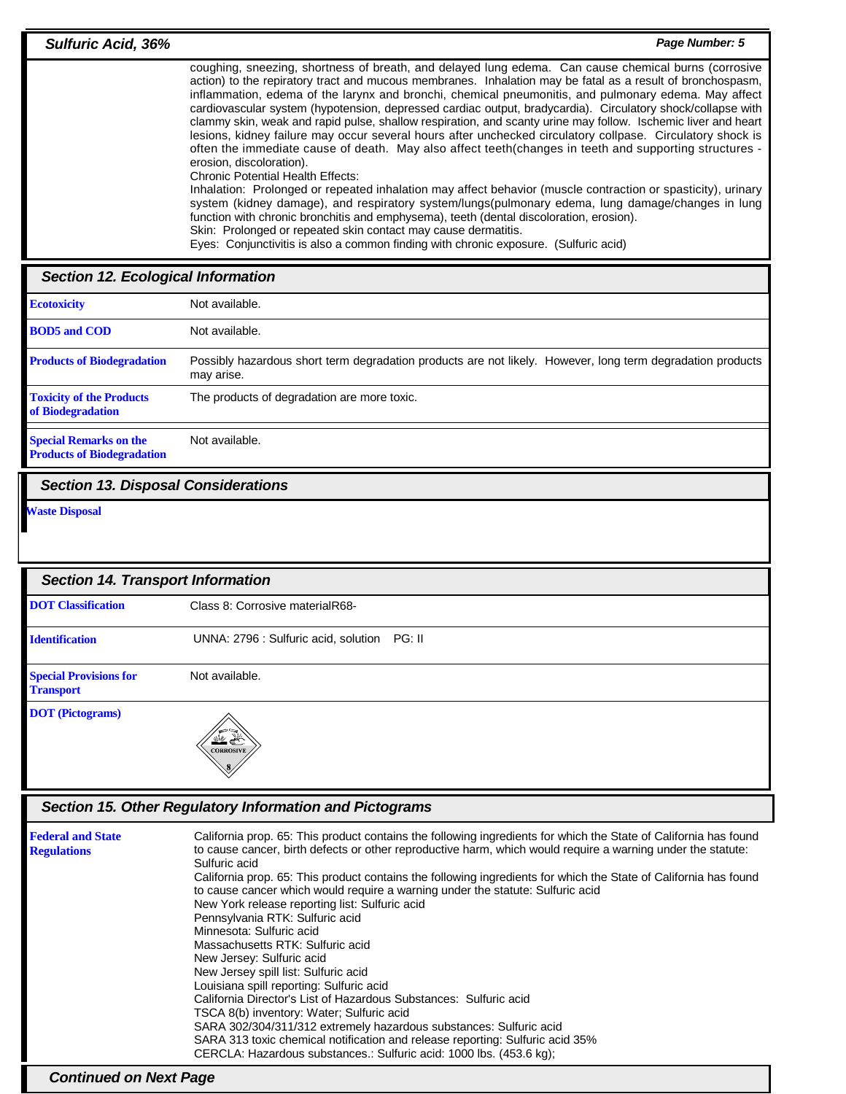| coughing, sneezing, shortness of breath, and delayed lung edema. Can cause chemical burns (corrosive<br>action) to the repiratory tract and mucous membranes. Inhalation may be fatal as a result of bronchospasm,<br>inflammation, edema of the larynx and bronchi, chemical pneumonitis, and pulmonary edema. May affect<br>cardiovascular system (hypotension, depressed cardiac output, bradycardia). Circulatory shock/collapse with<br>clammy skin, weak and rapid pulse, shallow respiration, and scanty urine may follow. Ischemic liver and heart<br>lesions, kidney failure may occur several hours after unchecked circulatory collpase. Circulatory shock is<br>often the immediate cause of death. May also affect teeth(changes in teeth and supporting structures -<br>erosion, discoloration).<br><b>Chronic Potential Health Effects:</b><br>Inhalation: Prolonged or repeated inhalation may affect behavior (muscle contraction or spasticity), urinary<br>system (kidney damage), and respiratory system/lungs(pulmonary edema, lung damage/changes in lung<br>function with chronic bronchitis and emphysema), teeth (dental discoloration, erosion).<br>Skin: Prolonged or repeated skin contact may cause dermatitis.<br>Eyes: Conjunctivitis is also a common finding with chronic exposure. (Sulfuric acid)<br><b>Section 12. Ecological Information</b> | <b>Sulfuric Acid, 36%</b> | Page Number: 5 |
|-----------------------------------------------------------------------------------------------------------------------------------------------------------------------------------------------------------------------------------------------------------------------------------------------------------------------------------------------------------------------------------------------------------------------------------------------------------------------------------------------------------------------------------------------------------------------------------------------------------------------------------------------------------------------------------------------------------------------------------------------------------------------------------------------------------------------------------------------------------------------------------------------------------------------------------------------------------------------------------------------------------------------------------------------------------------------------------------------------------------------------------------------------------------------------------------------------------------------------------------------------------------------------------------------------------------------------------------------------------------------------------|---------------------------|----------------|
|                                                                                                                                                                                                                                                                                                                                                                                                                                                                                                                                                                                                                                                                                                                                                                                                                                                                                                                                                                                                                                                                                                                                                                                                                                                                                                                                                                                   |                           |                |
|                                                                                                                                                                                                                                                                                                                                                                                                                                                                                                                                                                                                                                                                                                                                                                                                                                                                                                                                                                                                                                                                                                                                                                                                                                                                                                                                                                                   |                           |                |

| <b>Ecotoxicity</b>                                                 | Not available.                                                                                                           |
|--------------------------------------------------------------------|--------------------------------------------------------------------------------------------------------------------------|
| <b>BOD5</b> and COD                                                | Not available.                                                                                                           |
| <b>Products of Biodegradation</b>                                  | Possibly hazardous short term degradation products are not likely. However, long term degradation products<br>may arise. |
| <b>Toxicity of the Products</b><br>of Biodegradation               | The products of degradation are more toxic.                                                                              |
|                                                                    |                                                                                                                          |
| <b>Special Remarks on the</b><br><b>Products of Biodegradation</b> | Not available.                                                                                                           |

**Section 13. Disposal Considerations**

**Waste Disposal**

| <b>Section 14. Transport Information</b>                |                                                |
|---------------------------------------------------------|------------------------------------------------|
| <b>DOT</b> Classification                               | Class 8: Corrosive materialR68-                |
| <b>Identification</b>                                   | UNNA: 2796 : Sulfuric acid, solution<br>PG: II |
| <b>Special Provisions for</b><br><b>Transport</b>       | Not available.                                 |
| <b>DOT</b> (Pictograms)                                 | <b>秋会</b><br><b>CORROSIVE</b>                  |
| Section 15. Other Regulatory Information and Pictograms |                                                |

| <b>Federal and State</b>      | California prop. 65: This product contains the following ingredients for which the State of California has found |  |
|-------------------------------|------------------------------------------------------------------------------------------------------------------|--|
| <b>Regulations</b>            | to cause cancer, birth defects or other reproductive harm, which would require a warning under the statute:      |  |
|                               | Sulfuric acid                                                                                                    |  |
|                               | California prop. 65: This product contains the following ingredients for which the State of California has found |  |
|                               | to cause cancer which would require a warning under the statute: Sulfuric acid                                   |  |
|                               | New York release reporting list: Sulfuric acid                                                                   |  |
|                               | Pennsylvania RTK: Sulfuric acid                                                                                  |  |
|                               | Minnesota: Sulfuric acid                                                                                         |  |
|                               | Massachusetts RTK: Sulfuric acid                                                                                 |  |
|                               | New Jersey: Sulfuric acid                                                                                        |  |
|                               | New Jersey spill list: Sulfuric acid                                                                             |  |
|                               | Louisiana spill reporting: Sulfuric acid                                                                         |  |
|                               | California Director's List of Hazardous Substances: Sulfuric acid                                                |  |
|                               | TSCA 8(b) inventory: Water: Sulfuric acid                                                                        |  |
|                               | SARA 302/304/311/312 extremely hazardous substances: Sulfuric acid                                               |  |
|                               | SARA 313 toxic chemical notification and release reporting: Sulfuric acid 35%                                    |  |
|                               | CERCLA: Hazardous substances.: Sulfuric acid: 1000 lbs. (453.6 kg);                                              |  |
| <b>Continued on Next Page</b> |                                                                                                                  |  |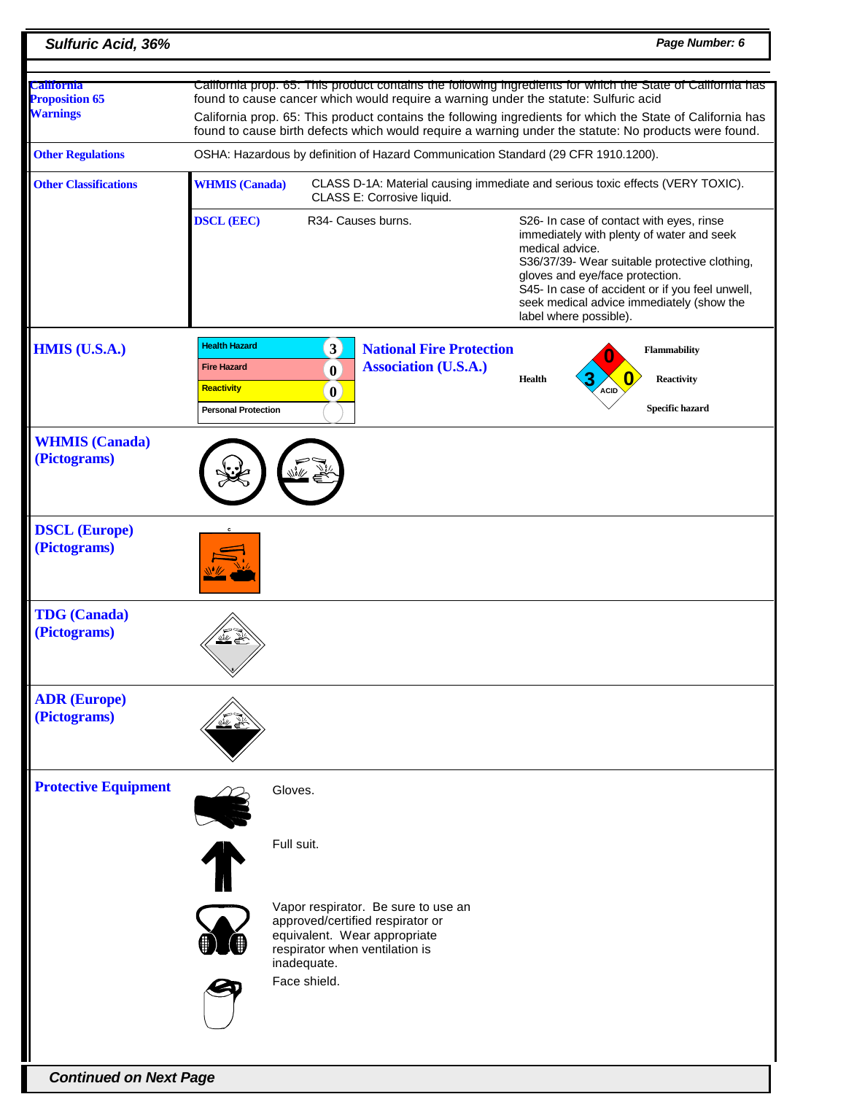